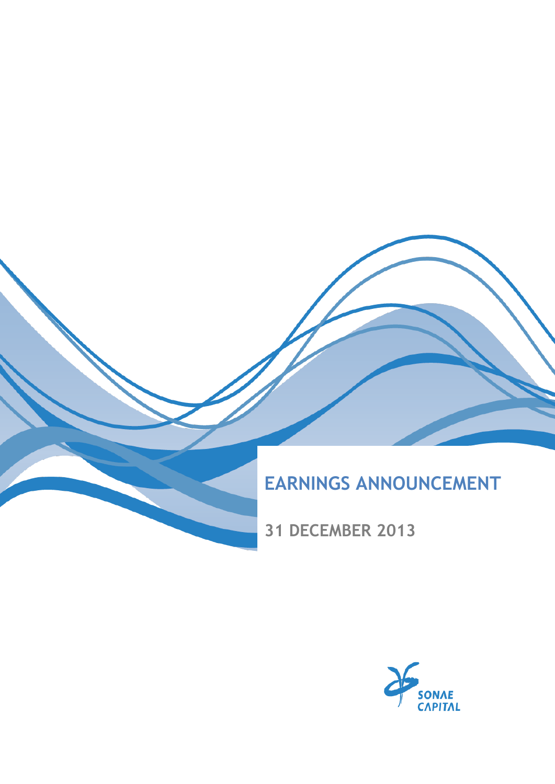

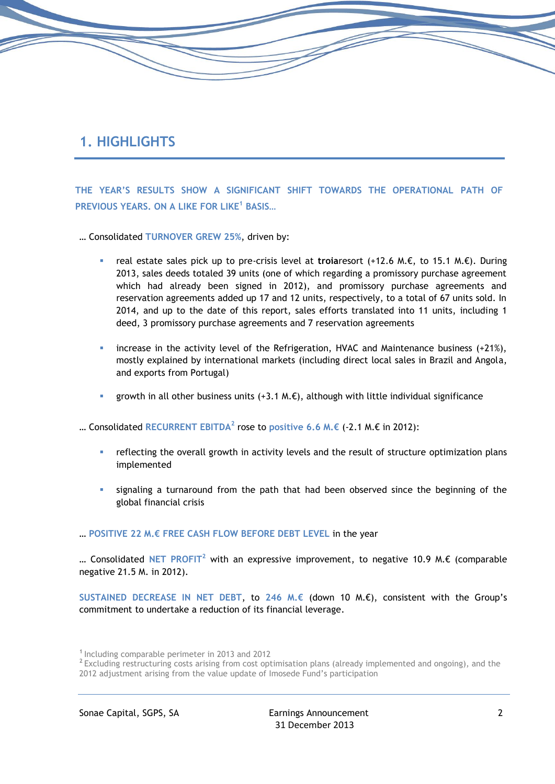# **1. HIGHLIGHTS**

**THE YEAR'S RESULTS SHOW A SIGNIFICANT SHIFT TOWARDS THE OPERATIONAL PATH OF PREVIOUS YEARS. ON A LIKE FOR LIKE<sup>1</sup> BASIS…**

… Consolidated **TURNOVER GREW 25%**, driven by:

- real estate sales pick up to pre-crisis level at **troia**resort (+12.6 M.€, to 15.1 M.€). During 2013, sales deeds totaled 39 units (one of which regarding a promissory purchase agreement which had already been signed in 2012), and promissory purchase agreements and reservation agreements added up 17 and 12 units, respectively, to a total of 67 units sold. In 2014, and up to the date of this report, sales efforts translated into 11 units, including 1 deed, 3 promissory purchase agreements and 7 reservation agreements
- increase in the activity level of the Refrigeration, HVAC and Maintenance business (+21%), mostly explained by international markets (including direct local sales in Brazil and Angola, and exports from Portugal)
- growth in all other business units (+3.1 M. $\epsilon$ ), although with little individual significance

… Consolidated **RECURRENT EBITDA<sup>2</sup>** rose to **positive 6.6 M.€** (-2.1 M.€ in 2012):

- reflecting the overall growth in activity levels and the result of structure optimization plans implemented
- signaling a turnaround from the path that had been observed since the beginning of the global financial crisis

#### … **POSITIVE 22 M.€ FREE CASH FLOW BEFORE DEBT LEVEL** in the year

… Consolidated **NET PROFIT<sup>2</sup>** with an expressive improvement, to negative 10.9 M.€ (comparable negative 21.5 M. in 2012).

**SUSTAINED DECREASE IN NET DEBT**, to **246 M.€** (down 10 M.€), consistent with the Group's commitment to undertake a reduction of its financial leverage.

**<sup>1</sup>**Including comparable perimeter in 2013 and 2012

<sup>&</sup>lt;sup>2</sup> Excluding restructuring costs arising from cost optimisation plans (already implemented and ongoing), and the 2012 adjustment arising from the value update of Imosede Fund's participation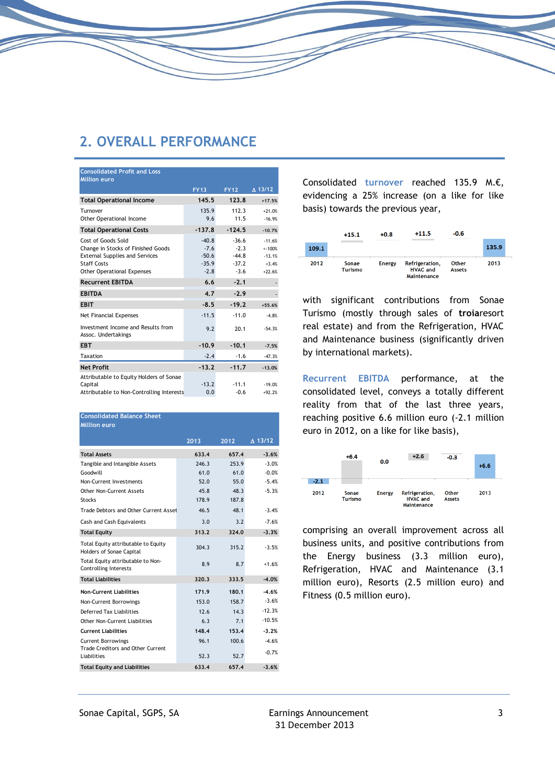## **2. OVERALL PERFORMANCE**

| <b>Consolidated Profit and Loss</b>                       |             |             |                   |
|-----------------------------------------------------------|-------------|-------------|-------------------|
| <b>Million euro</b>                                       |             |             |                   |
|                                                           | <b>FY13</b> | <b>FY12</b> | $\triangle$ 13/12 |
| <b>Total Operational Income</b>                           | 145.5       | 123.8       | $+17.5%$          |
| Turnover                                                  | 135.9       | 112.3       | $+21.0%$          |
| Other Operational Income                                  | 9.6         | 11.5        | $-16.9%$          |
| <b>Total Operational Costs</b>                            | $-137.8$    | $-124.5$    | $-10.7%$          |
| Cost of Goods Sold                                        | $-40.8$     | $-36.6$     | $-11.6%$          |
| Change in Stocks of Finished Goods                        | $-7.6$      | $-2.3$      | $< -100%$         |
| <b>External Supplies and Services</b>                     | $-50.6$     | $-44.8$     | $-13.1%$          |
| <b>Staff Costs</b>                                        | $-35.9$     | $-37.2$     | $+3.4%$           |
| <b>Other Operational Expenses</b>                         | $-2.8$      | $-3.6$      | $+22.6%$          |
| <b>Recurrent EBITDA</b>                                   | 6.6         | $-2.1$      |                   |
| <b>EBITDA</b>                                             | 4.7         | $-2.9$      |                   |
| <b>EBIT</b>                                               | $-8.5$      | $-19.2$     | $+55.6%$          |
| Net Financial Expenses                                    | $-11.5$     | $-11.0$     | $-4.8%$           |
| Investment Income and Results from<br>Assoc. Undertakings | 9.2         | 20.1        | $-54.3%$          |
| <b>EBT</b>                                                | $-10.9$     | $-10.1$     | $-7.5%$           |
| Taxation                                                  | $-2.4$      | $-1.6$      | $-47.3%$          |
| <b>Net Profit</b>                                         | $-13.2$     | $-11.7$     | $-13.0%$          |
| Attributable to Equity Holders of Sonae                   |             |             |                   |
| Capital                                                   | $-13.2$     | $-11.1$     | $-19.0%$          |
| Attributable to Non-Controlling Interests                 | 0.0         | $-0.6$      | $+92.2%$          |

| <b>Consolidated Balance Sheet</b>                               |       |       |                   |
|-----------------------------------------------------------------|-------|-------|-------------------|
| <b>Million euro</b>                                             |       |       |                   |
|                                                                 | 2013  | 2012  | $\triangle$ 13/12 |
| <b>Total Assets</b>                                             | 633.4 | 657.4 | $-3.6%$           |
| Tangible and Intangible Assets                                  | 246.3 | 253.9 | $-3.0%$           |
| Goodwill                                                        | 61.0  | 61.0  | $-0.0%$           |
| Non-Current Investments                                         | 52.0  | 55.0  | $-5.4%$           |
| Other Non-Current Assets                                        | 45.8  | 48.3  | $-5.3%$           |
| <b>Stocks</b>                                                   | 178.9 | 187.8 |                   |
| Trade Debtors and Other Current Asset                           | 46.5  | 48 1  | $-3.4%$           |
| Cash and Cash Equivalents                                       | 3.0   | 3.2   | $-7.6%$           |
| <b>Total Equity</b>                                             | 313.2 | 324.0 | $-3.3%$           |
| Total Equity attributable to Equity<br>Holders of Sonae Capital | 304.3 | 315.2 | $-3.5%$           |
| Total Equity attributable to Non-<br>Controlling Interests      | 8.9   | 8.7   | $+1.6%$           |
| <b>Total Liabilities</b>                                        | 320.3 | 333.5 | $-4.0%$           |
| <b>Non-Current Liabilities</b>                                  | 171.9 | 180.1 | $-4.6%$           |
| Non-Current Borrowings                                          | 153.0 | 158.7 | $-3.6%$           |
| Deferred Tax Liabilities                                        | 12.6  | 14.3  | $-12.3%$          |
| Other Non-Current Liabilities                                   | 6.3   | 71    | $-10.5%$          |
| <b>Current Liabilities</b>                                      | 148.4 | 153.4 | $-3.2%$           |
| <b>Current Borrowings</b><br>Trade Creditors and Other Current  | 96.1  | 100.6 | $-4.6%$           |
| Liabilities                                                     | 52.3  | 52.7  | $-0.7%$           |
| <b>Total Equity and Liabilities</b>                             | 633.4 | 657.4 | $-3.6%$           |

Consolidated **turnover** reached 135.9 M.€, evidencing a 25% increase (on a like for like basis) towards the previous year,



with significant contributions from Sonae Turismo (mostly through sales of **troia**resort real estate) and from the Refrigeration, HVAC and Maintenance business (significantly driven by international markets).

**Recurrent EBITDA** performance, at the consolidated level, conveys a totally different reality from that of the last three years, reaching positive 6.6 million euro (-2.1 million euro in 2012, on a like for like basis),



comprising an overall improvement across all business units, and positive contributions from the Energy business (3.3 million euro), Refrigeration, HVAC and Maintenance (3.1 million euro), Resorts (2.5 million euro) and Fitness (0.5 million euro).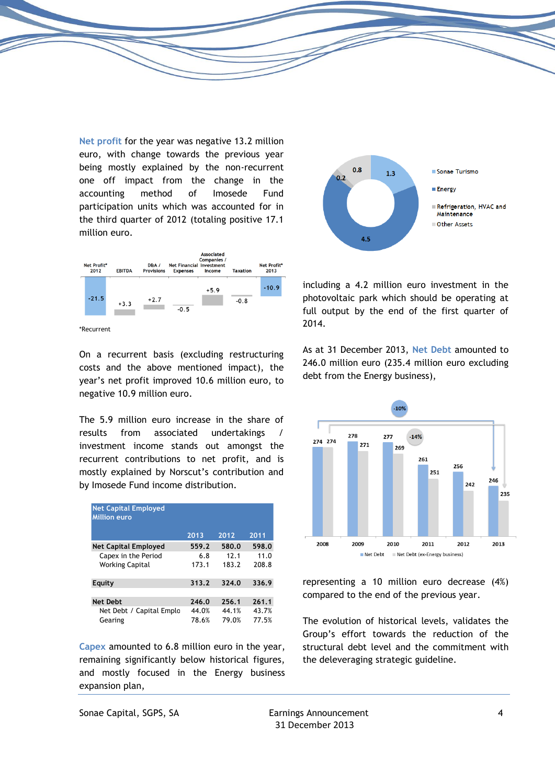**Net profit** for the year was negative 13.2 million euro, with change towards the previous year being mostly explained by the non-recurrent one off impact from the change in the accounting method of Imosede Fund participation units which was accounted for in the third quarter of 2012 (totaling positive 17.1 million euro.



\*Recurrent

On a recurrent basis (excluding restructuring costs and the above mentioned impact), the year's net profit improved 10.6 million euro, to negative 10.9 million euro.

The 5.9 million euro increase in the share of results from associated undertakings / investment income stands out amongst the recurrent contributions to net profit, and is mostly explained by Norscut's contribution and by Imosede Fund income distribution.

| <b>Net Capital Employed</b><br><b>Million euro</b> |       |       |       |
|----------------------------------------------------|-------|-------|-------|
|                                                    | 2013  | 2012  | 2011  |
| <b>Net Capital Employed</b>                        | 559.2 | 580.0 | 598.0 |
| Capex in the Period                                | 6.8   | 12.1  | 11.0  |
| <b>Working Capital</b>                             | 173.1 | 183.2 | 208.8 |
| Equity                                             | 313.2 | 324.0 | 336.9 |
| <b>Net Debt</b>                                    | 246.0 | 256.1 | 261.1 |
| Net Debt / Capital Emplo                           | 44.0% | 44.1% | 43.7% |
| Gearing                                            | 78.6% | 79.0% | 77.5% |

**Capex** amounted to 6.8 million euro in the year, remaining significantly below historical figures, and mostly focused in the Energy business expansion plan,



including a 4.2 million euro investment in the photovoltaic park which should be operating at full output by the end of the first quarter of 2014.

As at 31 December 2013, **Net Debt** amounted to 246.0 million euro (235.4 million euro excluding debt from the Energy business),



representing a 10 million euro decrease (4%) compared to the end of the previous year.

The evolution of historical levels, validates the Group's effort towards the reduction of the structural debt level and the commitment with the deleveraging strategic guideline.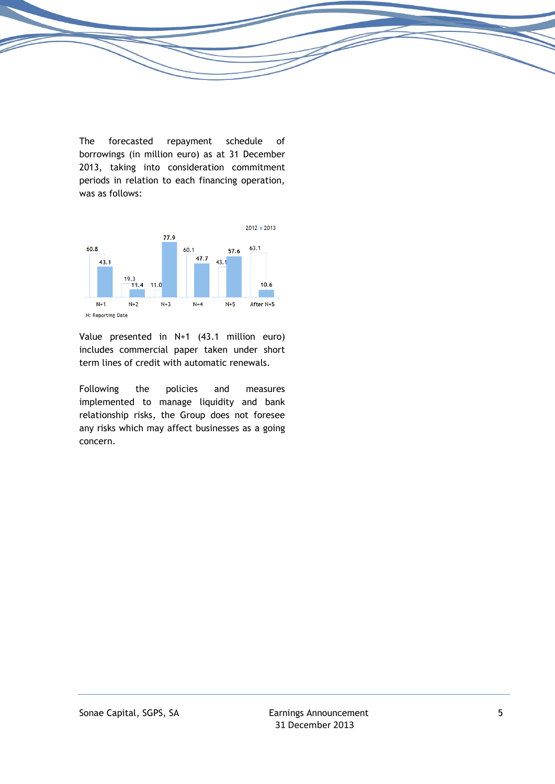The forecasted repayment schedule of borrowings (in million euro) as at 31 December 2013, taking into consideration commitment periods in relation to each financing operation, was as follows:



Value presented in N+1 (43.1 million euro) includes commercial paper taken under short term lines of credit with automatic renewals.

Following the policies and measures implemented to manage liquidity and bank relationship risks, the Group does not foresee any risks which may affect businesses as a going concern.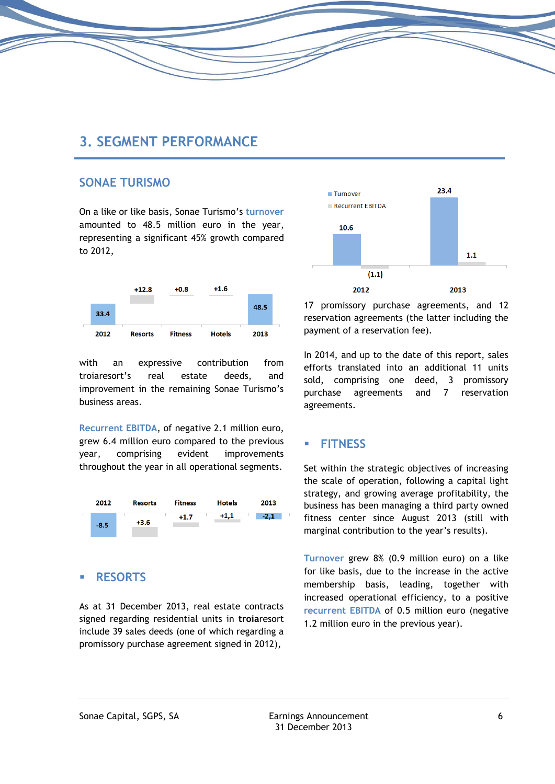## **3. SEGMENT PERFORMANCE**

### **SONAE TURISMO**

On a like or like basis, Sonae Turismo's **turnover** amounted to 48.5 million euro in the year, representing a significant 45% growth compared to 2012,



with an expressive contribution from troiaresort's real estate deeds, and improvement in the remaining Sonae Turismo's business areas.

**Recurrent EBITDA**, of negative 2.1 million euro, grew 6.4 million euro compared to the previous year, comprising evident improvements throughout the year in all operational segments.



#### **RESORTS**

As at 31 December 2013, real estate contracts signed regarding residential units in **troia**resort include 39 sales deeds (one of which regarding a promissory purchase agreement signed in 2012),



17 promissory purchase agreements, and 12 reservation agreements (the latter including the payment of a reservation fee).

In 2014, and up to the date of this report, sales efforts translated into an additional 11 units sold, comprising one deed, 3 promissory purchase agreements and 7 reservation agreements.

### **FITNESS**

Set within the strategic objectives of increasing the scale of operation, following a capital light strategy, and growing average profitability, the business has been managing a third party owned fitness center since August 2013 (still with marginal contribution to the year's results).

**Turnover** grew 8% (0.9 million euro) on a like for like basis, due to the increase in the active membership basis, leading, together with increased operational efficiency, to a positive **recurrent EBITDA** of 0.5 million euro (negative 1.2 million euro in the previous year).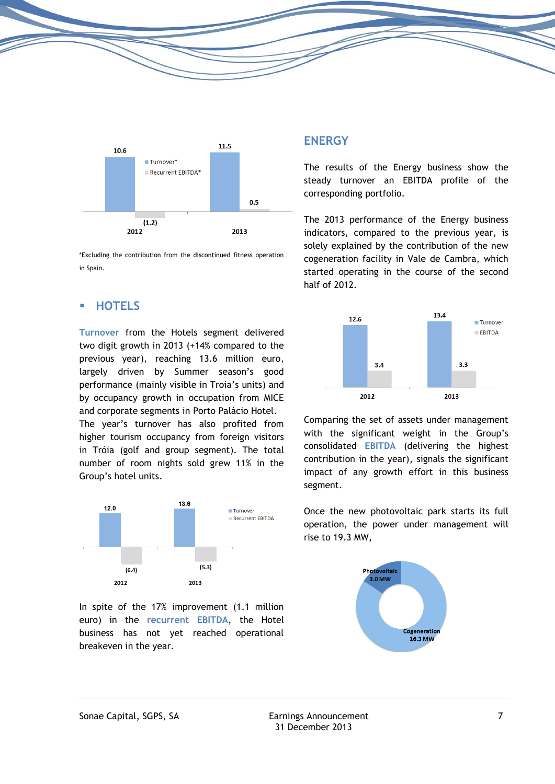

\*Excluding the contribution from the discontinued fitness operation in Spain.

### **HOTELS**

**Turnover** from the Hotels segment delivered two digit growth in 2013 (+14% compared to the previous year), reaching 13.6 million euro, largely driven by Summer season's good performance (mainly visible in Troia's units) and by occupancy growth in occupation from MICE and corporate segments in Porto Palácio Hotel.

The year's turnover has also profited from higher tourism occupancy from foreign visitors in Tróia (golf and group segment). The total number of room nights sold grew 11% in the Group's hotel units.



In spite of the 17% improvement (1.1 million euro) in the **recurrent EBITDA**, the Hotel business has not yet reached operational breakeven in the year.

### **ENERGY**

The results of the Energy business show the steady turnover an EBITDA profile of the corresponding portfolio.

The 2013 performance of the Energy business indicators, compared to the previous year, is solely explained by the contribution of the new cogeneration facility in Vale de Cambra, which started operating in the course of the second half of 2012.



Comparing the set of assets under management with the significant weight in the Group's consolidated **EBITDA** (delivering the highest contribution in the year), signals the significant impact of any growth effort in this business segment.

Once the new photovoltaic park starts its full operation, the power under management will rise to 19.3 MW,

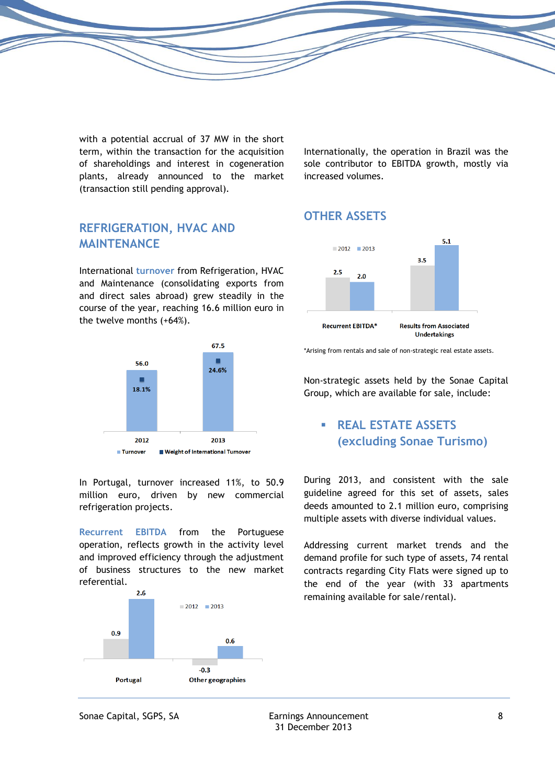with a potential accrual of 37 MW in the short term, within the transaction for the acquisition of shareholdings and interest in cogeneration plants, already announced to the market (transaction still pending approval).

Internationally, the operation in Brazil was the sole contributor to EBITDA growth, mostly via increased volumes.

## **OTHER ASSETS**



\*Arising from rentals and sale of non-strategic real estate assets.

Non-strategic assets held by the Sonae Capital Group, which are available for sale, include:

## **REAL ESTATE ASSETS (excluding Sonae Turismo)**

During 2013, and consistent with the sale guideline agreed for this set of assets, sales deeds amounted to 2.1 million euro, comprising multiple assets with diverse individual values.

Addressing current market trends and the demand profile for such type of assets, 74 rental contracts regarding City Flats were signed up to the end of the year (with 33 apartments remaining available for sale/rental).

## **REFRIGERATION, HVAC AND MAINTENANCE**

International **turnover** from Refrigeration, HVAC and Maintenance (consolidating exports from and direct sales abroad) grew steadily in the course of the year, reaching 16.6 million euro in the twelve months (+64%).



In Portugal, turnover increased 11%, to 50.9 million euro, driven by new commercial refrigeration projects.

**Recurrent EBITDA** from the Portuguese operation, reflects growth in the activity level and improved efficiency through the adjustment of business structures to the new market referential.

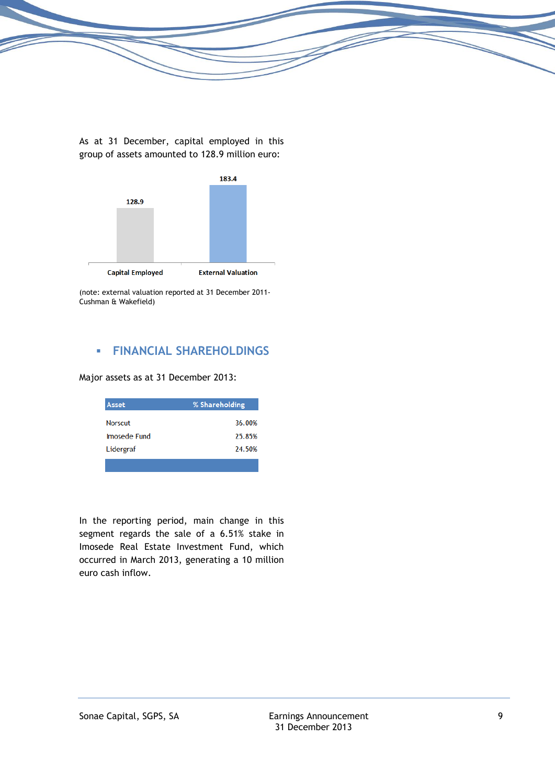

As at 31 December, capital employed in this group of assets amounted to 128.9 million euro:



(note: external valuation reported at 31 December 2011- Cushman & Wakefield)

## **FINANCIAL SHAREHOLDINGS**

Major assets as at 31 December 2013:

| Asset          | % Shareholding |
|----------------|----------------|
| <b>Norscut</b> | 36.00%         |
| Imosede Fund   | 25.85%         |
| Lidergraf      | 24.50%         |
|                |                |

In the reporting period, main change in this segment regards the sale of a 6.51% stake in Imosede Real Estate Investment Fund, which occurred in March 2013, generating a 10 million euro cash inflow.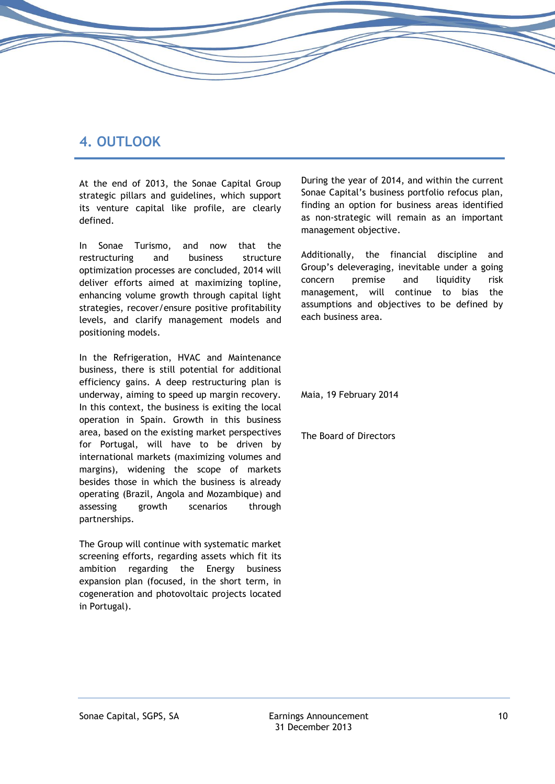## **4. OUTLOOK**

At the end of 2013, the Sonae Capital Group strategic pillars and guidelines, which support its venture capital like profile, are clearly defined.

In Sonae Turismo, and now that the restructuring and business structure optimization processes are concluded, 2014 will deliver efforts aimed at maximizing topline, enhancing volume growth through capital light strategies, recover/ensure positive profitability levels, and clarify management models and positioning models.

In the Refrigeration, HVAC and Maintenance business, there is still potential for additional efficiency gains. A deep restructuring plan is underway, aiming to speed up margin recovery. In this context, the business is exiting the local operation in Spain. Growth in this business area, based on the existing market perspectives for Portugal, will have to be driven by international markets (maximizing volumes and margins), widening the scope of markets besides those in which the business is already operating (Brazil, Angola and Mozambique) and assessing growth scenarios through partnerships.

The Group will continue with systematic market screening efforts, regarding assets which fit its ambition regarding the Energy business expansion plan (focused, in the short term, in cogeneration and photovoltaic projects located in Portugal).

During the year of 2014, and within the current Sonae Capital's business portfolio refocus plan, finding an option for business areas identified as non-strategic will remain as an important management objective.

Additionally, the financial discipline and Group's deleveraging, inevitable under a going concern premise and liquidity risk management, will continue to bias the assumptions and objectives to be defined by each business area.

Maia, 19 February 2014

The Board of Directors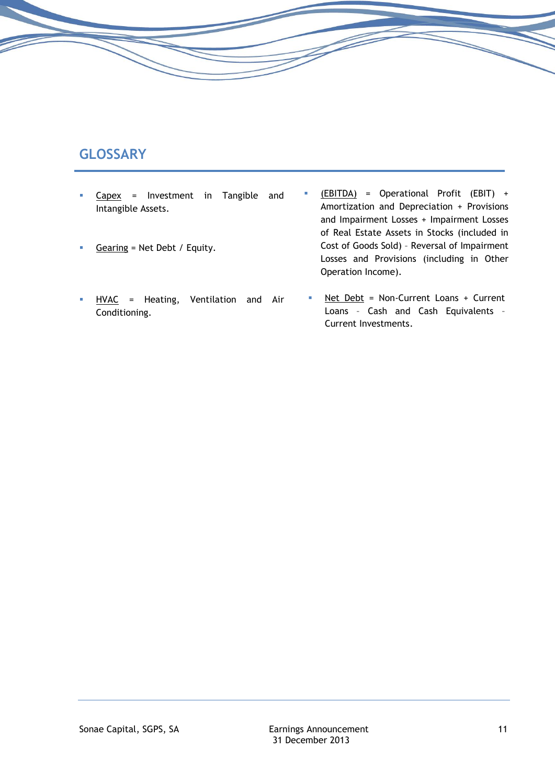# **GLOSSARY**

- Capex = Investment in Tangible and Intangible Assets.
- Gearing = Net Debt / Equity.
- HVAC = Heating, Ventilation and Air Conditioning.
- (EBITDA) = Operational Profit (EBIT) + Amortization and Depreciation + Provisions and Impairment Losses + Impairment Losses of Real Estate Assets in Stocks (included in Cost of Goods Sold) – Reversal of Impairment Losses and Provisions (including in Other Operation Income).
- Net Debt = Non-Current Loans + Current Loans – Cash and Cash Equivalents – Current Investments.